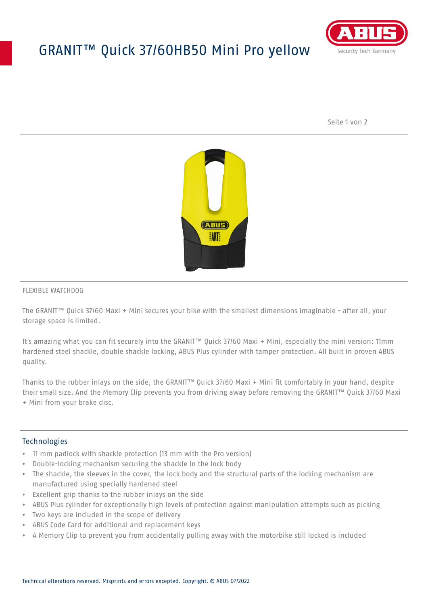## GRANIT™ Quick 37/60HB50 Mini Pro yellow



Seite 1 von 2



#### FLEXIBLE WATCHDOG

The GRANIT™ Quick 37/60 Maxi + Mini secures your bike with the smallest dimensions imaginable - after all, your storage space is limited.

It's amazing what you can fit securely into the GRANIT™ Quick 37/60 Maxi + Mini, especially the mini version: 11mm hardened steel shackle, double shackle locking, ABUS Plus cylinder with tamper protection. All built in proven ABUS quality.

Thanks to the rubber inlays on the side, the GRANIT™ Quick 37/60 Maxi + Mini fit comfortably in your hand, despite their small size. And the Memory Clip prevents you from driving away before removing the GRANIT™ Quick 37/60 Maxi + Mini from your brake disc.

### **Technologies**

- 11 mm padlock with shackle protection (13 mm with the Pro version)
- Double-locking mechanism securing the shackle in the lock body
- The shackle, the sleeves in the cover, the lock body and the structural parts of the locking mechanism are manufactured using specially hardened steel
- Excellent grip thanks to the rubber inlays on the side
- ABUS Plus cylinder for exceptionally high levels of protection against manipulation attempts such as picking
- Two keys are included in the scope of delivery
- ABUS Code Card for additional and replacement keys
- A Memory Clip to prevent you from accidentally pulling away with the motorbike still locked is included